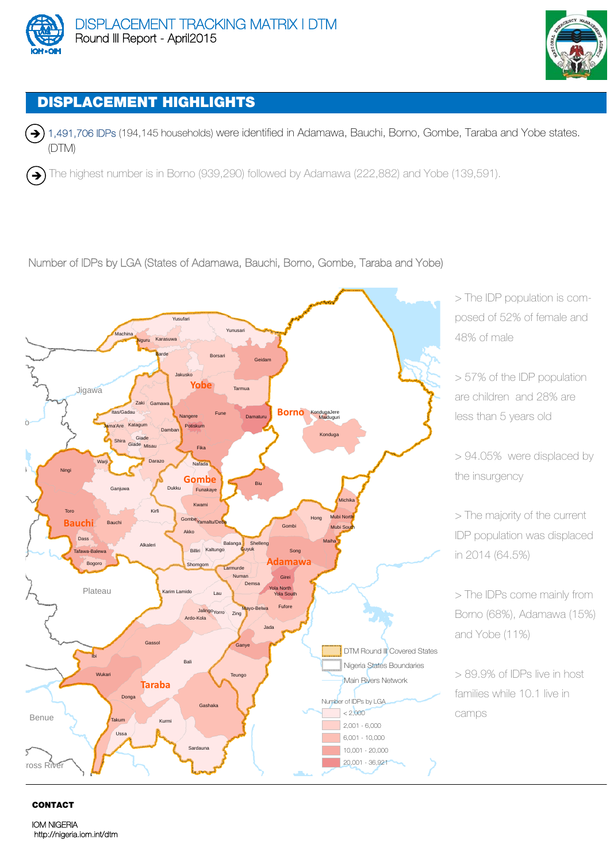



## DISPLACEMENT HIGHLIGHTS

→ 1,491,706 IDPs (194,145 households) were identified in Adamawa, Bauchi, Borno, Gombe, Taraba and Yobe states. (DTM)

 $\left(\rightarrow\right)$  The highest number is in Borno (939,290) followed by Adamawa (222,882) and Yobe (139,591).

## Number of IDPs by LGA (States of Adamawa, Bauchi, Borno, Gombe, Taraba and Yobe)



> The IDP population is composed of 52% of female and 48% of male

> 57% of the IDP population are children and 28% are less than 5 years old

> 94.05% were displaced by the insurgency

> The majority of the current IDP population was displaced in 2014 (64.5%)

> The IDPs come mainly from Borno (68%), Adamawa (15%) and Yobe (11%)

> 89.9% of IDPs live in host families while 10.1 live in camps

## CONTACT

IOM NIGERIA http://nigeria.iom.int/dtm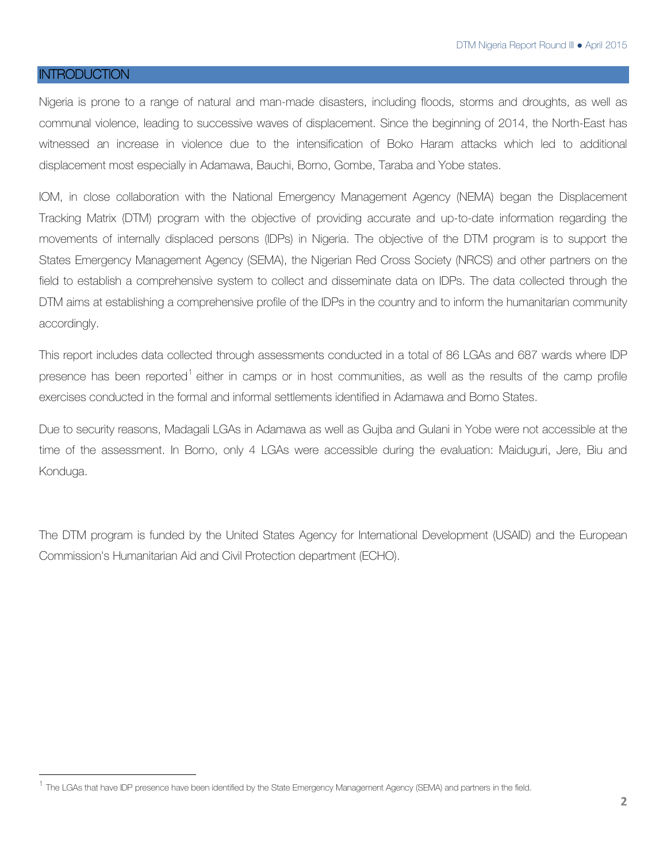## **INTRODUCTION**

Nigeria is prone to a range of natural and man-made disasters, including floods, storms and droughts, as well as communal violence, leading to successive waves of displacement. Since the beginning of 2014, the North-East has witnessed an increase in violence due to the intensification of Boko Haram attacks which led to additional displacement most especially in Adamawa, Bauchi, Borno, Gombe, Taraba and Yobe states.

IOM, in close collaboration with the National Emergency Management Agency (NEMA) began the Displacement Tracking Matrix (DTM) program with the objective of providing accurate and up-to-date information regarding the movements of internally displaced persons (IDPs) in Nigeria. The objective of the DTM program is to support the States Emergency Management Agency (SEMA), the Nigerian Red Cross Society (NRCS) and other partners on the field to establish a comprehensive system to collect and disseminate data on IDPs. The data collected through the DTM aims at establishing a comprehensive profile of the IDPs in the country and to inform the humanitarian community accordingly.

This report includes data collected through assessments conducted in a total of 86 LGAs and 687 wards where IDP presence has been reported<sup>1</sup> either in camps or in host communities, as well as the results of the camp profile exercises conducted in the formal and informal settlements identified in Adamawa and Borno States.

Due to security reasons, Madagali LGAs in Adamawa as well as Gujba and Gulani in Yobe were not accessible at the time of the assessment. In Borno, only 4 LGAs were accessible during the evaluation: Maiduguri, Jere, Biu and Konduga.

The DTM program is funded by the United States Agency for International Development (USAID) and the European Commission's Humanitarian Aid and Civil Protection department (ECHO).

 $^1$  The LGAs that have IDP presence have been identified by the State Emergency Management Agency (SEMA) and partners in the field.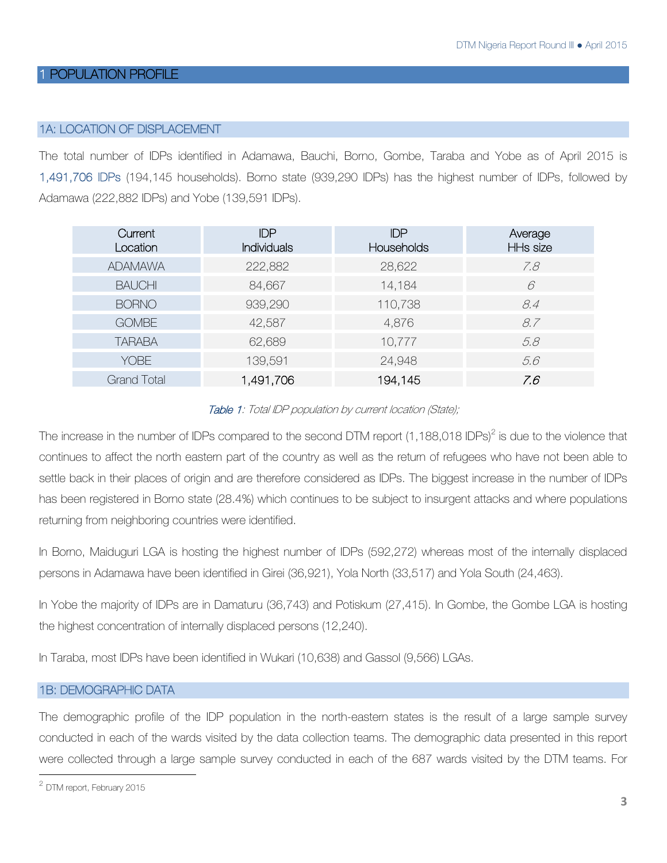## POPULATION PROFILE

## 1A: LOCATION OF DISPLACEMENT

The total number of IDPs identified in Adamawa, Bauchi, Borno, Gombe, Taraba and Yobe as of April 2015 is 1,491,706 IDPs (194,145 households). Borno state (939,290 IDPs) has the highest number of IDPs, followed by Adamawa (222,882 IDPs) and Yobe (139,591 IDPs).

| Current<br>Location | <b>IDP</b><br><b>Individuals</b> | <b>IDP</b><br>Households | Average<br><b>HHs size</b> |
|---------------------|----------------------------------|--------------------------|----------------------------|
| <b>ADAMAWA</b>      | 222,882                          | 28,622                   | 7.8                        |
| <b>BAUCHI</b>       | 84,667                           | 14,184                   | 6                          |
| <b>BORNO</b>        | 939,290                          | 110,738                  | 8.4                        |
| <b>GOMBE</b>        | 42,587                           | 4,876                    | 8.7                        |
| <b>TARABA</b>       | 62,689                           | 10,777                   | 5.8                        |
| <b>YOBE</b>         | 139,591                          | 24,948                   | 5.6                        |
| <b>Grand Total</b>  | 1,491,706                        | 194,145                  | 7.6                        |

## Table 1: Total IDP population by current location (State);

The increase in the number of IDPs compared to the second DTM report (1,188,018 IDPs)<sup>2</sup> is due to the violence that continues to affect the north eastern part of the country as well as the return of refugees who have not been able to settle back in their places of origin and are therefore considered as IDPs. The biggest increase in the number of IDPs has been registered in Borno state (28.4%) which continues to be subject to insurgent attacks and where populations returning from neighboring countries were identified.

In Borno, Maiduguri LGA is hosting the highest number of IDPs (592,272) whereas most of the internally displaced persons in Adamawa have been identified in Girei (36,921), Yola North (33,517) and Yola South (24,463).

In Yobe the majority of IDPs are in Damaturu (36,743) and Potiskum (27,415). In Gombe, the Gombe LGA is hosting the highest concentration of internally displaced persons (12,240).

In Taraba, most IDPs have been identified in Wukari (10,638) and Gassol (9,566) LGAs.

## 1B: DEMOGRAPHIC DATA

The demographic profile of the IDP population in the north-eastern states is the result of a large sample survey conducted in each of the wards visited by the data collection teams. The demographic data presented in this report were collected through a large sample survey conducted in each of the 687 wards visited by the DTM teams. For

<sup>2</sup> DTM report, February 2015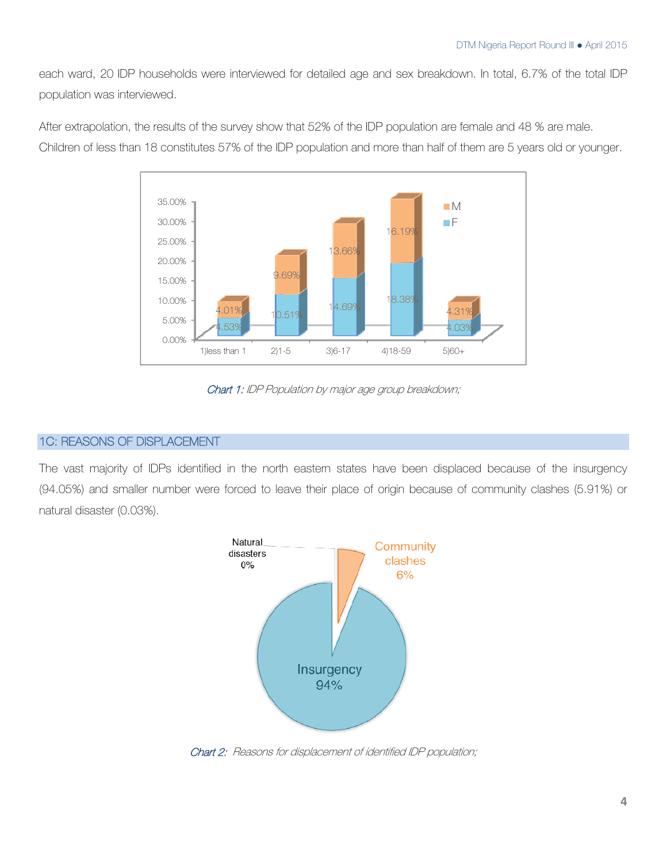each ward, 20 IDP households were interviewed for detailed age and sex breakdown. In total, 6.7% of the total IDP population was interviewed.



After extrapolation, the results of the survey show that 52% of the IDP population are female and 48 % are male.

Children of less than 18 constitutes 57% of the IDP population and more than half of them are 5 years old or younger.

Chart 1: IDP Population by major age group breakdown;

## 1C: REASONS OF DISPLACEMENT

The vast majority of IDPs identified in the north eastern states have been displaced because of the insurgency (94.05%) and smaller number were forced to leave their place of origin because of community clashes (5.91%) or natural disaster (0.03%).



Chart 2: Reasons for displacement of identified IDP population;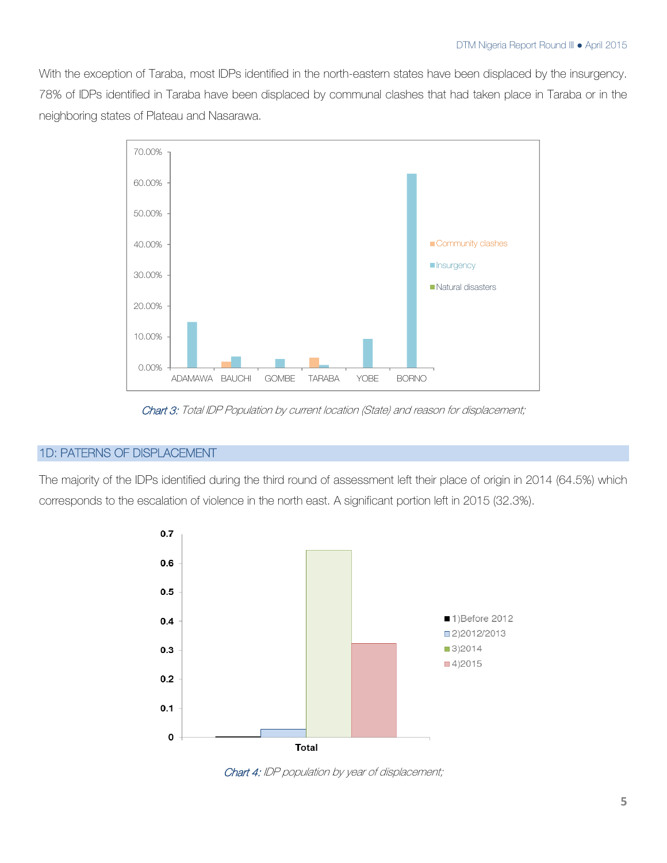With the exception of Taraba, most IDPs identified in the north-eastern states have been displaced by the insurgency. 78% of IDPs identified in Taraba have been displaced by communal clashes that had taken place in Taraba or in the neighboring states of Plateau and Nasarawa.



Chart 3: Total IDP Population by current location (State) and reason for displacement;

## 1D: PATERNS OF DISPLACEMENT

The majority of the IDPs identified during the third round of assessment left their place of origin in 2014 (64.5%) which corresponds to the escalation of violence in the north east. A significant portion left in 2015 (32.3%).



Chart 4: IDP population by year of displacement;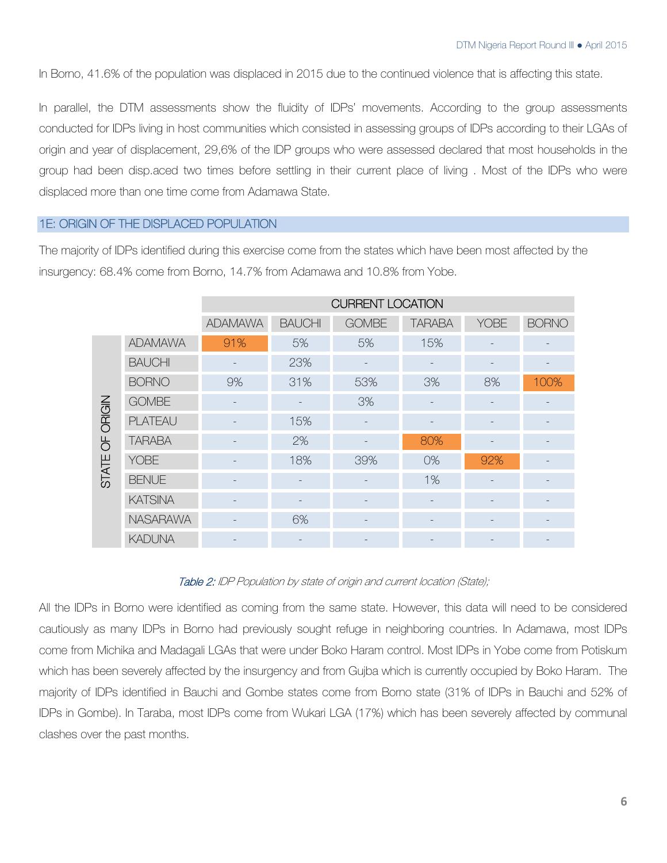In Borno, 41.6% of the population was displaced in 2015 due to the continued violence that is affecting this state.

In parallel, the DTM assessments show the fluidity of IDPs' movements. According to the group assessments conducted for IDPs living in host communities which consisted in assessing groups of IDPs according to their LGAs of origin and year of displacement, 29,6% of the IDP groups who were assessed declared that most households in the group had been disp.aced two times before settling in their current place of living . Most of the IDPs who were displaced more than one time come from Adamawa State.

## 1E: ORIGIN OF THE DISPLACED POPULATION

The majority of IDPs identified during this exercise come from the states which have been most affected by the insurgency: 68.4% come from Borno, 14.7% from Adamawa and 10.8% from Yobe.

|                |                 | <b>CURRENT LOCATION</b> |                          |              |               |             |              |
|----------------|-----------------|-------------------------|--------------------------|--------------|---------------|-------------|--------------|
|                |                 | <b>ADAMAWA</b>          | <b>BAUCHI</b>            | <b>GOMBE</b> | <b>TARABA</b> | <b>YOBE</b> | <b>BORNO</b> |
| ORIGIN         | <b>ADAMAWA</b>  | 91%                     | 5%                       | 5%           | 15%           |             |              |
|                | <b>BAUCHI</b>   |                         | 23%                      |              |               |             |              |
|                | <b>BORNO</b>    | 9%                      | 31%                      | 53%          | 3%            | 8%          | 100%         |
|                | <b>GOMBE</b>    |                         |                          | 3%           |               |             |              |
|                | <b>PLATEAU</b>  |                         | 15%                      |              |               |             |              |
| $\overline{5}$ | <b>TARABA</b>   |                         | 2%                       |              | 80%           |             |              |
| <b>STATE</b>   | <b>YOBE</b>     |                         | 18%                      | 39%          | 0%            | 92%         |              |
|                | <b>BENUE</b>    |                         | $\overline{\phantom{a}}$ |              | 1%            |             |              |
|                | <b>KATSINA</b>  |                         |                          |              |               |             |              |
|                | <b>NASARAWA</b> |                         | 6%                       |              |               |             |              |
|                | <b>KADUNA</b>   |                         |                          |              |               |             |              |

## Table 2: IDP Population by state of origin and current location (State);

All the IDPs in Borno were identified as coming from the same state. However, this data will need to be considered cautiously as many IDPs in Borno had previously sought refuge in neighboring countries. In Adamawa, most IDPs come from Michika and Madagali LGAs that were under Boko Haram control. Most IDPs in Yobe come from Potiskum which has been severely affected by the insurgency and from Gujba which is currently occupied by Boko Haram. The majority of IDPs identified in Bauchi and Gombe states come from Borno state (31% of IDPs in Bauchi and 52% of IDPs in Gombe). In Taraba, most IDPs come from Wukari LGA (17%) which has been severely affected by communal clashes over the past months.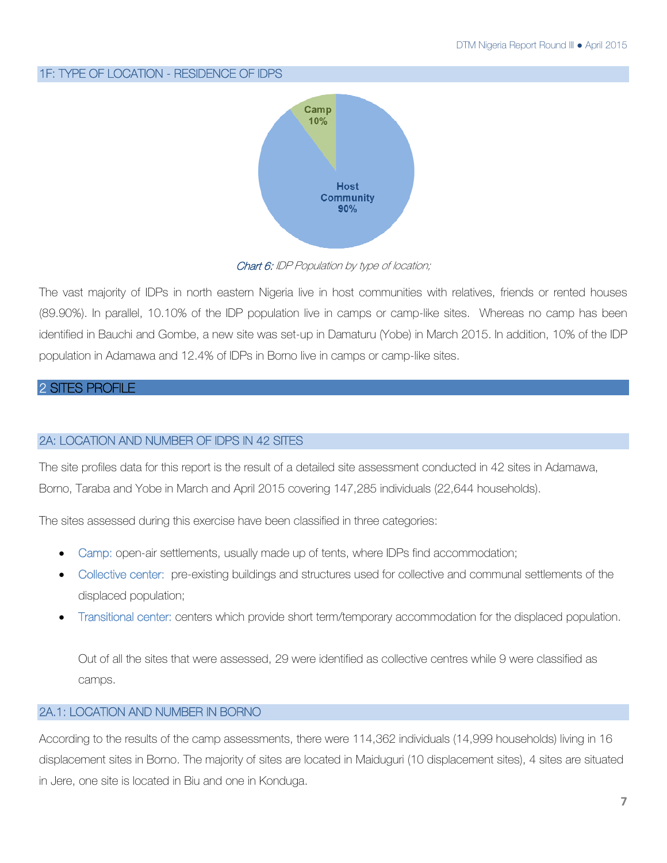## 1F: TYPE OF LOCATION - RESIDENCE OF IDPS



Chart 6: IDP Population by type of location;

The vast majority of IDPs in north eastern Nigeria live in host communities with relatives, friends or rented houses (89.90%). In parallel, 10.10% of the IDP population live in camps or camp-like sites. Whereas no camp has been identified in Bauchi and Gombe, a new site was set-up in Damaturu (Yobe) in March 2015. In addition, 10% of the IDP population in Adamawa and 12.4% of IDPs in Borno live in camps or camp-like sites.

## 2 SITES PROFILE

## 2A: LOCATION AND NUMBER OF IDPS IN 42 SITES

The site profiles data for this report is the result of a detailed site assessment conducted in 42 sites in Adamawa, Borno, Taraba and Yobe in March and April 2015 covering 147,285 individuals (22,644 households).

The sites assessed during this exercise have been classified in three categories:

- Camp: open-air settlements, usually made up of tents, where IDPs find accommodation;
- Collective center: pre-existing buildings and structures used for collective and communal settlements of the displaced population;
- Transitional center: centers which provide short term/temporary accommodation for the displaced population.

Out of all the sites that were assessed, 29 were identified as collective centres while 9 were classified as camps.

## 2A.1: LOCATION AND NUMBER IN BORNO

According to the results of the camp assessments, there were 114,362 individuals (14,999 households) living in 16 displacement sites in Borno. The majority of sites are located in Maiduguri (10 displacement sites), 4 sites are situated in Jere, one site is located in Biu and one in Konduga.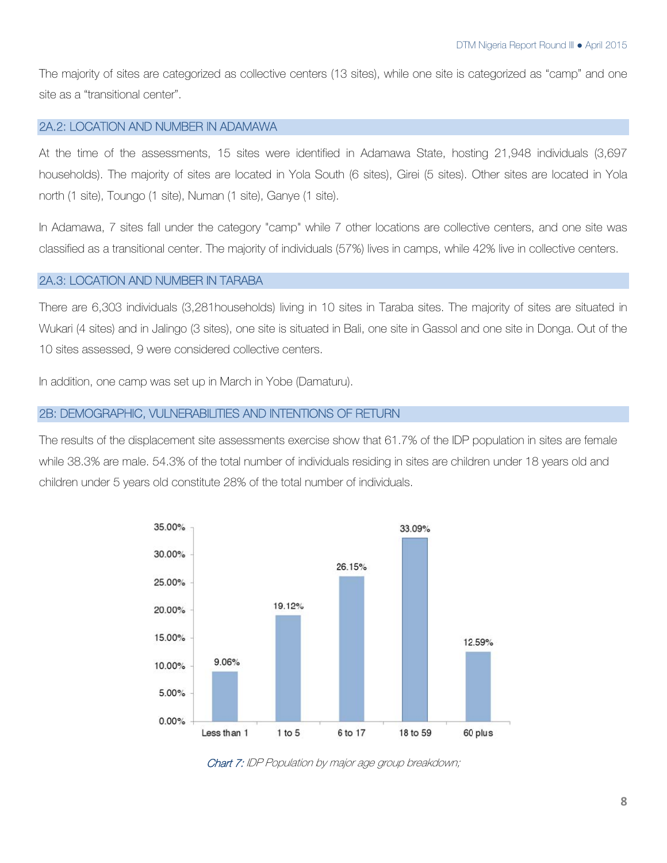The majority of sites are categorized as collective centers (13 sites), while one site is categorized as "camp" and one site as a "transitional center".

## 2A.2: LOCATION AND NUMBER IN ADAMAWA

At the time of the assessments, 15 sites were identified in Adamawa State, hosting 21,948 individuals (3,697 households). The majority of sites are located in Yola South (6 sites), Girei (5 sites). Other sites are located in Yola north (1 site), Toungo (1 site), Numan (1 site), Ganye (1 site).

In Adamawa, 7 sites fall under the category "camp" while 7 other locations are collective centers, and one site was classified as a transitional center. The majority of individuals (57%) lives in camps, while 42% live in collective centers.

## 2A.3: LOCATION AND NUMBER IN TARABA

There are 6,303 individuals (3,281households) living in 10 sites in Taraba sites. The majority of sites are situated in Wukari (4 sites) and in Jalingo (3 sites), one site is situated in Bali, one site in Gassol and one site in Donga. Out of the 10 sites assessed, 9 were considered collective centers.

In addition, one camp was set up in March in Yobe (Damaturu).

## 2B: DEMOGRAPHIC, VULNERABILITIES AND INTENTIONS OF RETURN

The results of the displacement site assessments exercise show that 61.7% of the IDP population in sites are female while 38.3% are male. 54.3% of the total number of individuals residing in sites are children under 18 years old and children under 5 years old constitute 28% of the total number of individuals.



Chart 7: IDP Population by major age group breakdown;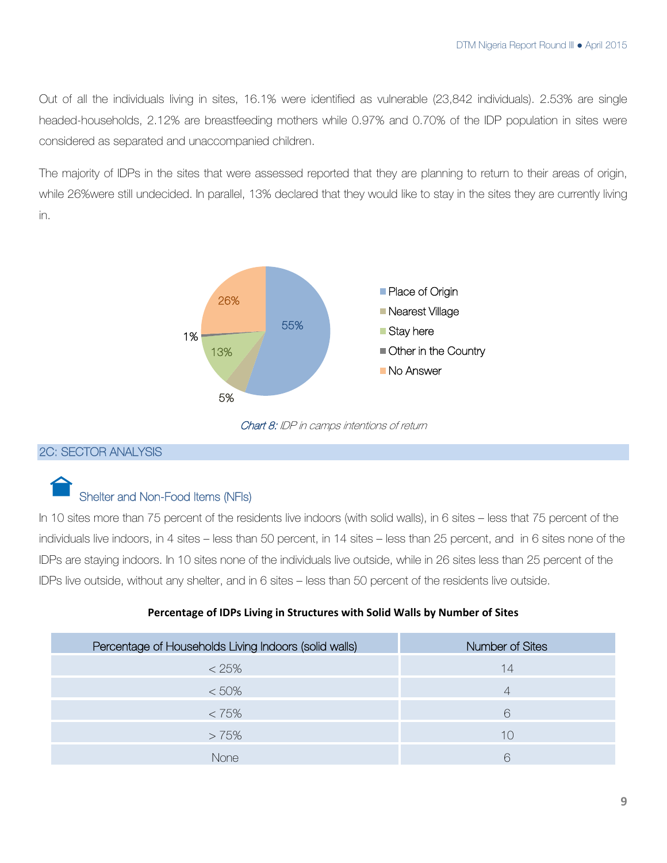Out of all the individuals living in sites, 16.1% were identified as vulnerable (23,842 individuals). 2.53% are single headed-households, 2.12% are breastfeeding mothers while 0.97% and 0.70% of the IDP population in sites were considered as separated and unaccompanied children.

The majority of IDPs in the sites that were assessed reported that they are planning to return to their areas of origin, while 26%were still undecided. In parallel, 13% declared that they would like to stay in the sites they are currently living in.



Chart 8: IDP in camps intentions of return

## 2C: SECTOR ANALYSIS

## Shelter and Non-Food Items (NFIs)

In 10 sites more than 75 percent of the residents live indoors (with solid walls), in 6 sites – less that 75 percent of the individuals live indoors, in 4 sites – less than 50 percent, in 14 sites – less than 25 percent, and in 6 sites none of the IDPs are staying indoors. In 10 sites none of the individuals live outside, while in 26 sites less than 25 percent of the IDPs live outside, without any shelter, and in 6 sites – less than 50 percent of the residents live outside.

## **Percentage of IDPs Living in Structures with Solid Walls by Number of Sites**

| Percentage of Households Living Indoors (solid walls) | Number of Sites |
|-------------------------------------------------------|-----------------|
| $< 25\%$                                              | 14              |
| $< 50\%$                                              | 4               |
| $< 75\%$                                              | 6               |
| >75%                                                  | 10              |
| None                                                  | R               |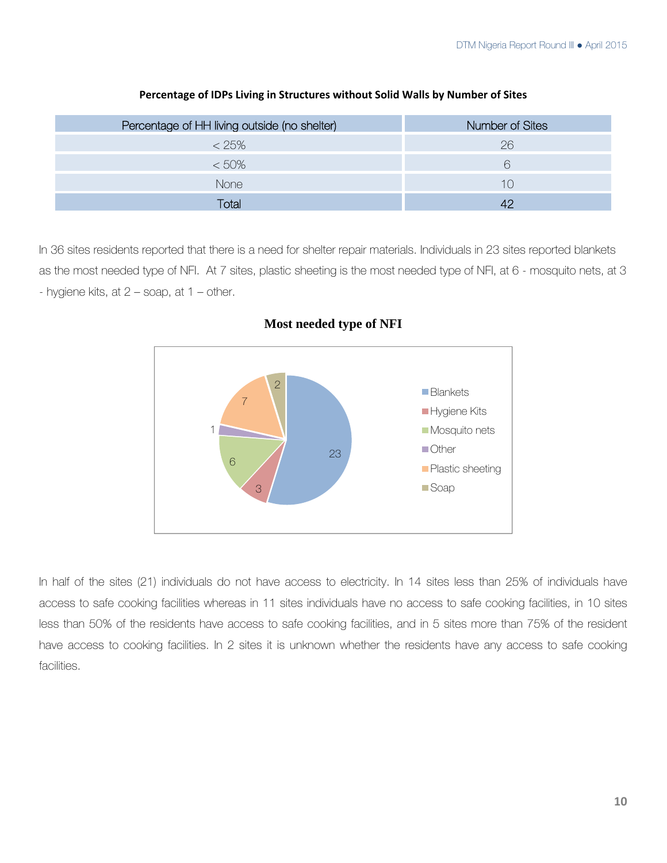| Percentage of HH living outside (no shelter) | Number of Sites |
|----------------------------------------------|-----------------|
| $< 25\%$                                     | 26              |
| $< 50\%$                                     |                 |
| <b>None</b>                                  | 1 $\cap$        |
| Гоtal                                        |                 |

#### **Percentage of IDPs Living in Structures without Solid Walls by Number of Sites**

In 36 sites residents reported that there is a need for shelter repair materials. Individuals in 23 sites reported blankets as the most needed type of NFI. At 7 sites, plastic sheeting is the most needed type of NFI, at 6 - mosquito nets, at 3 - hygiene kits, at  $2 -$  soap, at  $1 -$  other.



**Most needed type of NFI** 

In half of the sites (21) individuals do not have access to electricity. In 14 sites less than 25% of individuals have access to safe cooking facilities whereas in 11 sites individuals have no access to safe cooking facilities, in 10 sites less than 50% of the residents have access to safe cooking facilities, and in 5 sites more than 75% of the resident have access to cooking facilities. In 2 sites it is unknown whether the residents have any access to safe cooking facilities.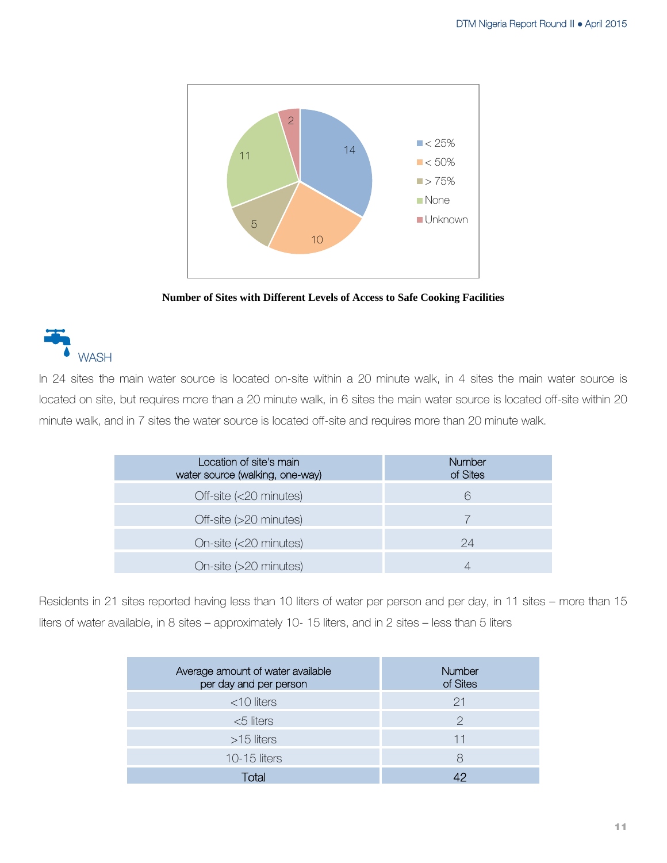

**Number of Sites with Different Levels of Access to Safe Cooking Facilities** 

## **WASH**

In 24 sites the main water source is located on-site within a 20 minute walk, in 4 sites the main water source is located on site, but requires more than a 20 minute walk, in 6 sites the main water source is located off-site within 20 minute walk, and in 7 sites the water source is located off-site and requires more than 20 minute walk.

| Location of site's main<br>water source (walking, one-way) | <b>Number</b><br>of Sites |
|------------------------------------------------------------|---------------------------|
| Off-site (<20 minutes)                                     | 6                         |
| Off-site (>20 minutes)                                     |                           |
| On-site (<20 minutes)                                      | 24                        |
| On-site (>20 minutes)                                      |                           |

Residents in 21 sites reported having less than 10 liters of water per person and per day, in 11 sites – more than 15 liters of water available, in 8 sites – approximately 10- 15 liters, and in 2 sites – less than 5 liters

| Average amount of water available<br>per day and per person | Number<br>of Sites |
|-------------------------------------------------------------|--------------------|
| $<$ 10 liters                                               | 21                 |
| $<$ 5 liters                                                | 2                  |
| $>15$ liters                                                | 11                 |
| <b>10-15 liters</b>                                         | 8                  |
| <b>Total</b>                                                |                    |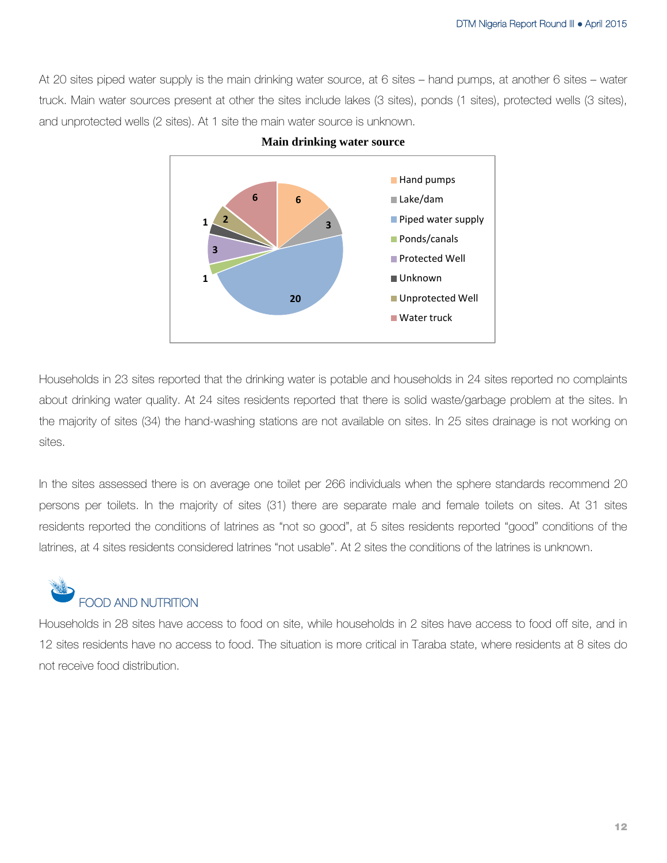At 20 sites piped water supply is the main drinking water source, at 6 sites – hand pumps, at another 6 sites – water truck. Main water sources present at other the sites include lakes (3 sites), ponds (1 sites), protected wells (3 sites), and unprotected wells (2 sites). At 1 site the main water source is unknown.



Households in 23 sites reported that the drinking water is potable and households in 24 sites reported no complaints about drinking water quality. At 24 sites residents reported that there is solid waste/garbage problem at the sites. In the majority of sites (34) the hand-washing stations are not available on sites. In 25 sites drainage is not working on sites.

In the sites assessed there is on average one toilet per 266 individuals when the sphere standards recommend 20 persons per toilets. In the majority of sites (31) there are separate male and female toilets on sites. At 31 sites residents reported the conditions of latrines as "not so good", at 5 sites residents reported "good" conditions of the latrines, at 4 sites residents considered latrines "not usable". At 2 sites the conditions of the latrines is unknown.



Households in 28 sites have access to food on site, while households in 2 sites have access to food off site, and in 12 sites residents have no access to food. The situation is more critical in Taraba state, where residents at 8 sites do not receive food distribution.

**Main drinking water source**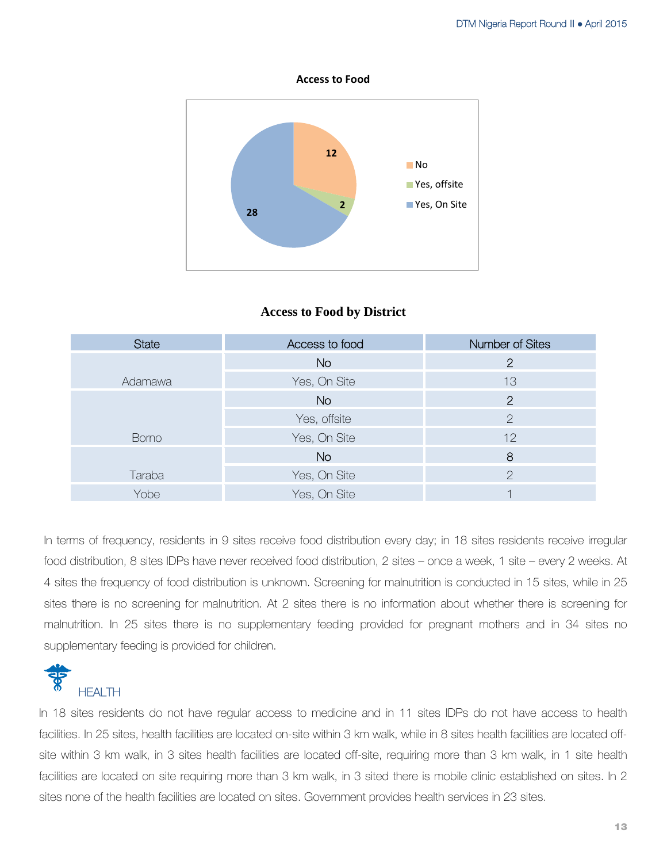**Access to Food**



## **Access to Food by District**

| <b>State</b> | Access to food | Number of Sites |
|--------------|----------------|-----------------|
|              | <b>No</b>      | $\overline{2}$  |
| Adamawa      | Yes, On Site   | 13              |
|              | <b>No</b>      | $\overline{2}$  |
|              | Yes, offsite   | $\overline{2}$  |
| <b>Borno</b> | Yes, On Site   | 12              |
|              | <b>No</b>      | 8               |
| Taraba       | Yes, On Site   | $\mathcal{P}$   |
| Yobe         | Yes, On Site   |                 |

In terms of frequency, residents in 9 sites receive food distribution every day; in 18 sites residents receive irregular food distribution, 8 sites IDPs have never received food distribution, 2 sites – once a week, 1 site – every 2 weeks. At 4 sites the frequency of food distribution is unknown. Screening for malnutrition is conducted in 15 sites, while in 25 sites there is no screening for malnutrition. At 2 sites there is no information about whether there is screening for malnutrition. In 25 sites there is no supplementary feeding provided for pregnant mothers and in 34 sites no supplementary feeding is provided for children.



In 18 sites residents do not have regular access to medicine and in 11 sites IDPs do not have access to health facilities. In 25 sites, health facilities are located on-site within 3 km walk, while in 8 sites health facilities are located offsite within 3 km walk, in 3 sites health facilities are located off-site, requiring more than 3 km walk, in 1 site health facilities are located on site requiring more than 3 km walk, in 3 sited there is mobile clinic established on sites. In 2 sites none of the health facilities are located on sites. Government provides health services in 23 sites.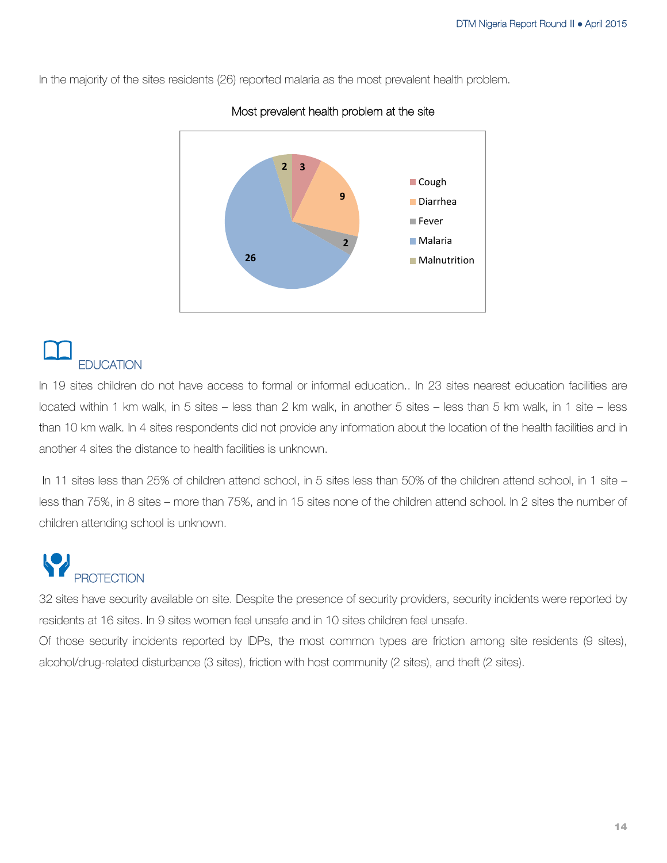In the majority of the sites residents (26) reported malaria as the most prevalent health problem.



## Most prevalent health problem at the site

## **EDUCATION**

In 19 sites children do not have access to formal or informal education.. In 23 sites nearest education facilities are located within 1 km walk, in 5 sites – less than 2 km walk, in another 5 sites – less than 5 km walk, in 1 site – less than 10 km walk. In 4 sites respondents did not provide any information about the location of the health facilities and in another 4 sites the distance to health facilities is unknown.

 In 11 sites less than 25% of children attend school, in 5 sites less than 50% of the children attend school, in 1 site – less than 75%, in 8 sites – more than 75%, and in 15 sites none of the children attend school. In 2 sites the number of children attending school is unknown.

# **PROTECTION**

32 sites have security available on site. Despite the presence of security providers, security incidents were reported by residents at 16 sites. In 9 sites women feel unsafe and in 10 sites children feel unsafe.

Of those security incidents reported by IDPs, the most common types are friction among site residents (9 sites), alcohol/drug-related disturbance (3 sites), friction with host community (2 sites), and theft (2 sites).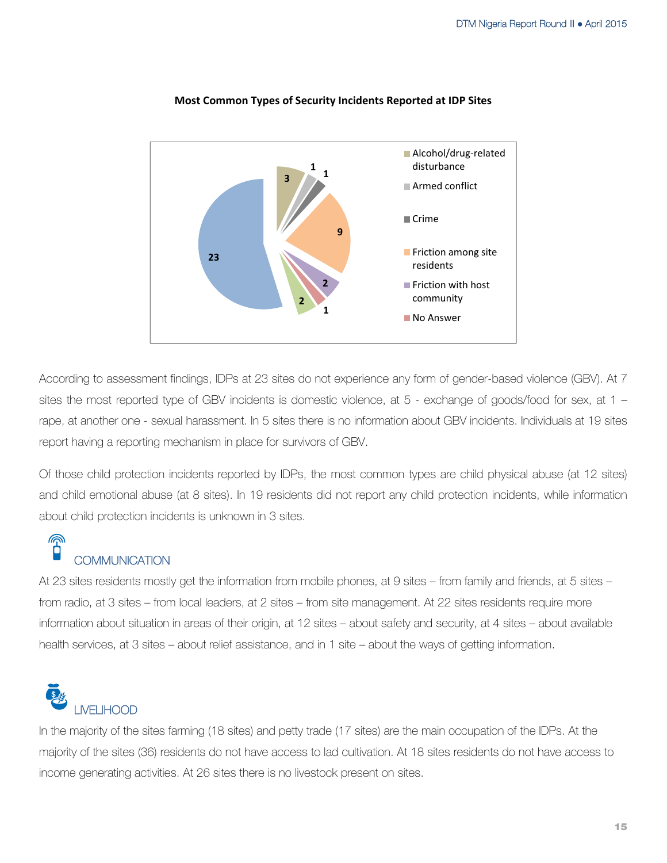

#### **Most Common Types of Security Incidents Reported at IDP Sites**

According to assessment findings, IDPs at 23 sites do not experience any form of gender-based violence (GBV). At 7 sites the most reported type of GBV incidents is domestic violence, at 5 - exchange of goods/food for sex, at 1 – rape, at another one - sexual harassment. In 5 sites there is no information about GBV incidents. Individuals at 19 sites report having a reporting mechanism in place for survivors of GBV.

Of those child protection incidents reported by IDPs, the most common types are child physical abuse (at 12 sites) and child emotional abuse (at 8 sites). In 19 residents did not report any child protection incidents, while information about child protection incidents is unknown in 3 sites.

## **®** COMMUNICATION

At 23 sites residents mostly get the information from mobile phones, at 9 sites – from family and friends, at 5 sites – from radio, at 3 sites – from local leaders, at 2 sites – from site management. At 22 sites residents require more information about situation in areas of their origin, at 12 sites – about safety and security, at 4 sites – about available health services, at 3 sites – about relief assistance, and in 1 site – about the ways of getting information.

# LIVELIHOOD

In the majority of the sites farming (18 sites) and petty trade (17 sites) are the main occupation of the IDPs. At the majority of the sites (36) residents do not have access to lad cultivation. At 18 sites residents do not have access to income generating activities. At 26 sites there is no livestock present on sites.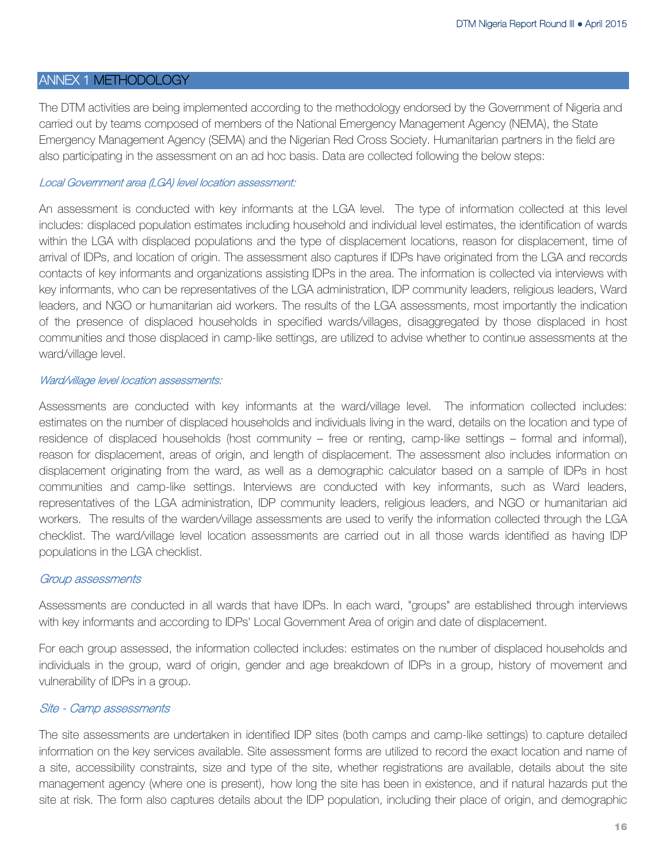## ANNEX 1 METHODOLOGY

The DTM activities are being implemented according to the methodology endorsed by the Government of Nigeria and carried out by teams composed of members of the National Emergency Management Agency (NEMA), the State Emergency Management Agency (SEMA) and the Nigerian Red Cross Society. Humanitarian partners in the field are also participating in the assessment on an ad hoc basis. Data are collected following the below steps:

## Local Government area (LGA) level location assessment:

An assessment is conducted with key informants at the LGA level. The type of information collected at this level includes: displaced population estimates including household and individual level estimates, the identification of wards within the LGA with displaced populations and the type of displacement locations, reason for displacement, time of arrival of IDPs, and location of origin. The assessment also captures if IDPs have originated from the LGA and records contacts of key informants and organizations assisting IDPs in the area. The information is collected via interviews with key informants, who can be representatives of the LGA administration, IDP community leaders, religious leaders, Ward leaders, and NGO or humanitarian aid workers. The results of the LGA assessments, most importantly the indication of the presence of displaced households in specified wards/villages, disaggregated by those displaced in host communities and those displaced in camp-like settings, are utilized to advise whether to continue assessments at the ward/village level.

## Ward/village level location assessments:

Assessments are conducted with key informants at the ward/village level. The information collected includes: estimates on the number of displaced households and individuals living in the ward, details on the location and type of residence of displaced households (host community – free or renting, camp-like settings – formal and informal), reason for displacement, areas of origin, and length of displacement. The assessment also includes information on displacement originating from the ward, as well as a demographic calculator based on a sample of IDPs in host communities and camp-like settings. Interviews are conducted with key informants, such as Ward leaders, representatives of the LGA administration, IDP community leaders, religious leaders, and NGO or humanitarian aid workers. The results of the warden/village assessments are used to verify the information collected through the LGA checklist. The ward/village level location assessments are carried out in all those wards identified as having IDP populations in the LGA checklist.

## Group assessments

Assessments are conducted in all wards that have IDPs. In each ward, "groups" are established through interviews with key informants and according to IDPs' Local Government Area of origin and date of displacement.

For each group assessed, the information collected includes: estimates on the number of displaced households and individuals in the group, ward of origin, gender and age breakdown of IDPs in a group, history of movement and vulnerability of IDPs in a group.

## Site - Camp assessments

The site assessments are undertaken in identified IDP sites (both camps and camp-like settings) to capture detailed information on the key services available. Site assessment forms are utilized to record the exact location and name of a site, accessibility constraints, size and type of the site, whether registrations are available, details about the site management agency (where one is present), how long the site has been in existence, and if natural hazards put the site at risk. The form also captures details about the IDP population, including their place of origin, and demographic